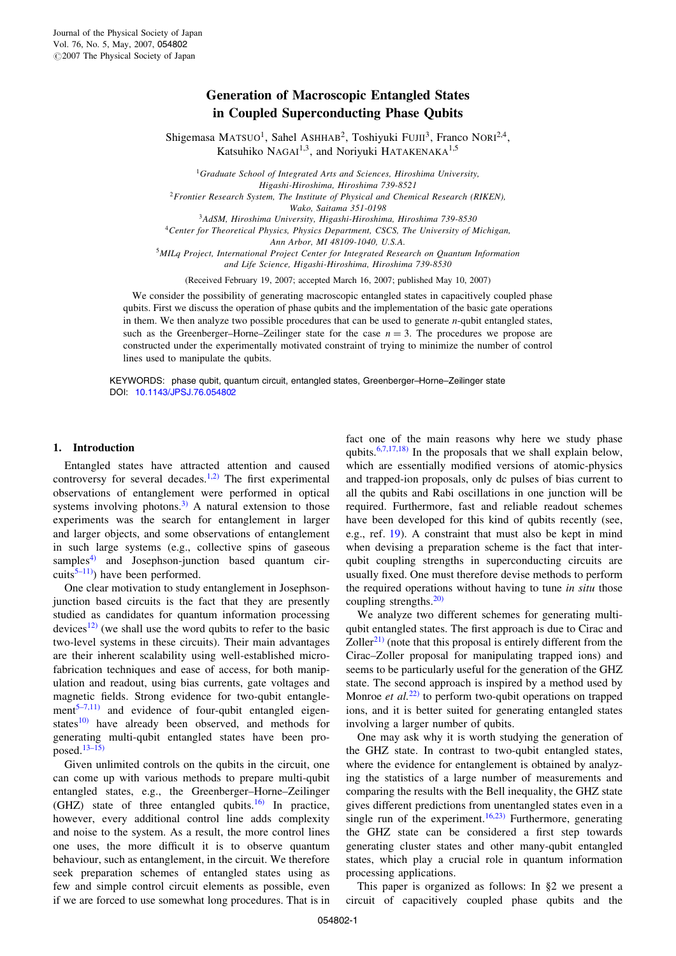# Generation of Macroscopic Entangled States in Coupled Superconducting Phase Qubits

Shigemasa MATSUO<sup>1</sup>, Sahel ASHHAB<sup>2</sup>, Toshiyuki FUJII<sup>3</sup>, Franco NORI<sup>2,4</sup>, Katsuhiko NAGAI<sup>1,3</sup>, and Noriyuki HATAKENAKA<sup>1,5</sup>

Graduate School of Integrated Arts and Sciences, Hiroshima University, Higashi-Hiroshima, Hiroshima 739-8521 Frontier Research System, The Institute of Physical and Chemical Research (RIKEN), Wako, Saitama 351-0198 AdSM, Hiroshima University, Higashi-Hiroshima, Hiroshima 739-8530 Center for Theoretical Physics, Physics Department, CSCS, The University of Michigan, Ann Arbor, MI 48109-1040, U.S.A. MILq Project, International Project Center for Integrated Research on Quantum Information

and Life Science, Higashi-Hiroshima, Hiroshima 739-8530

(Received February 19, 2007; accepted March 16, 2007; published May 10, 2007)

We consider the possibility of generating macroscopic entangled states in capacitively coupled phase qubits. First we discuss the operation of phase qubits and the implementation of the basic gate operations in them. We then analyze two possible procedures that can be used to generate n-qubit entangled states, such as the Greenberger–Horne–Zeilinger state for the case  $n = 3$ . The procedures we propose are constructed under the experimentally motivated constraint of trying to minimize the number of control lines used to manipulate the qubits.

KEYWORDS: phase qubit, quantum circuit, entangled states, Greenberger–Horne–Zeilinger state [DOI:](http://dx.doi.org/10.1143/JPSJ.76.054802) [10.1143/JPSJ.76.054802](http://dx.doi.org/10.1143/JPSJ.76.054802)

## 1. Introduction

Entangled states have attracted attention and caused controversy for several decades.<sup>1,2)</sup> The first experimental observations of entanglement were performed in optical systems involving photons.<sup>[3\)](#page-5-0)</sup> A natural extension to those experiments was the search for entanglement in larger and larger objects, and some observations of entanglement in such large systems (e.g., collective spins of gaseous samples $^{4)}$  and Josephson-junction based quantum circuits<sup>5–11)</sup>) have been performed.

One clear motivation to study entanglement in Josephsonjunction based circuits is the fact that they are presently studied as candidates for quantum information processing devices<sup>[12\)](#page-5-0)</sup> (we shall use the word qubits to refer to the basic two-level systems in these circuits). Their main advantages are their inherent scalability using well-established microfabrication techniques and ease of access, for both manipulation and readout, using bias currents, gate voltages and magnetic fields. Strong evidence for two-qubit entangle-ment<sup>[5–7,11\)](#page-5-0)</sup> and evidence of four-qubit entangled eigenstates $^{10)}$  $^{10)}$  $^{10)}$  have already been observed, and methods for generating multi-qubit entangled states have been proposed. $13-15$ )

Given unlimited controls on the qubits in the circuit, one can come up with various methods to prepare multi-qubit entangled states, e.g., the Greenberger–Horne–Zeilinger (GHZ) state of three entangled qubits.[16\)](#page-5-0) In practice, however, every additional control line adds complexity and noise to the system. As a result, the more control lines one uses, the more difficult it is to observe quantum behaviour, such as entanglement, in the circuit. We therefore seek preparation schemes of entangled states using as few and simple control circuit elements as possible, even if we are forced to use somewhat long procedures. That is in fact one of the main reasons why here we study phase qubits.<sup>[6,7,17,18\)](#page-5-0)</sup> In the proposals that we shall explain below, which are essentially modified versions of atomic-physics and trapped-ion proposals, only dc pulses of bias current to all the qubits and Rabi oscillations in one junction will be required. Furthermore, fast and reliable readout schemes have been developed for this kind of qubits recently (see, e.g., ref. [19\)](#page-5-0). A constraint that must also be kept in mind when devising a preparation scheme is the fact that interqubit coupling strengths in superconducting circuits are usually fixed. One must therefore devise methods to perform the required operations without having to tune in situ those coupling strengths. $20$ 

We analyze two different schemes for generating multiqubit entangled states. The first approach is due to Cirac and Zoller<sup>[21\)](#page-5-0)</sup> (note that this proposal is entirely different from the Cirac–Zoller proposal for manipulating trapped ions) and seems to be particularly useful for the generation of the GHZ state. The second approach is inspired by a method used by Monroe et  $al$ .<sup>[22\)](#page-5-0)</sup> to perform two-qubit operations on trapped ions, and it is better suited for generating entangled states involving a larger number of qubits.

One may ask why it is worth studying the generation of the GHZ state. In contrast to two-qubit entangled states, where the evidence for entanglement is obtained by analyzing the statistics of a large number of measurements and comparing the results with the Bell inequality, the GHZ state gives different predictions from unentangled states even in a single run of the experiment.<sup>[16,23\)](#page-5-0)</sup> Furthermore, generating the GHZ state can be considered a first step towards generating cluster states and other many-qubit entangled states, which play a crucial role in quantum information processing applications.

This paper is organized as follows: In §2 we present a circuit of capacitively coupled phase qubits and the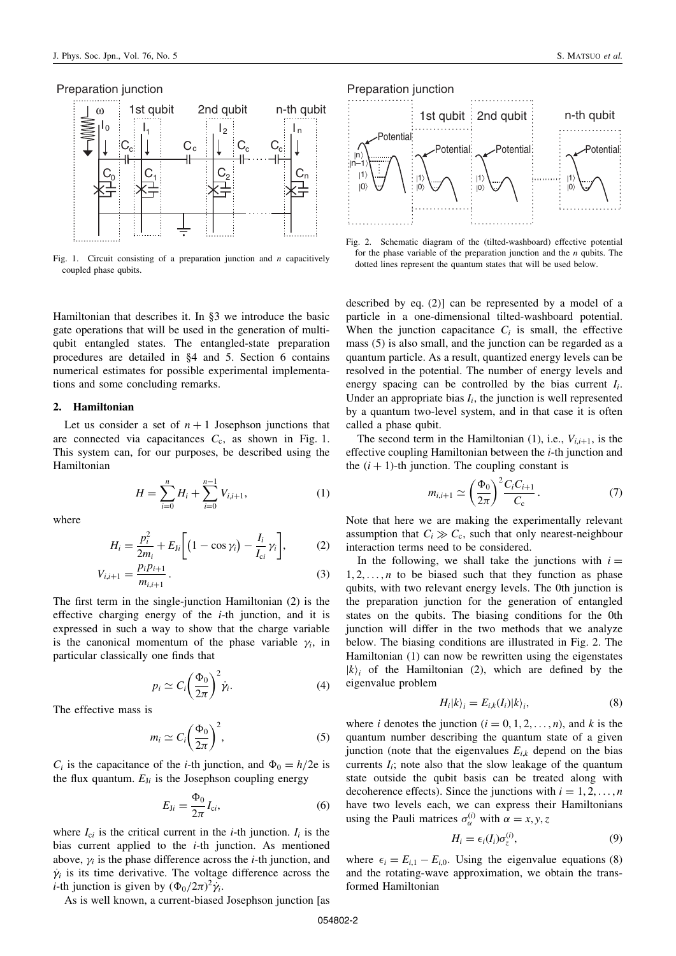### Preparation junction



Fig. 1. Circuit consisting of a preparation junction and  $n$  capacitively coupled phase qubits.

Hamiltonian that describes it. In §3 we introduce the basic gate operations that will be used in the generation of multiqubit entangled states. The entangled-state preparation procedures are detailed in §4 and 5. Section 6 contains numerical estimates for possible experimental implementations and some concluding remarks.

### 2. Hamiltonian

Let us consider a set of  $n + 1$  Josephson junctions that are connected via capacitances  $C_c$ , as shown in Fig. 1. This system can, for our purposes, be described using the Hamiltonian

$$
H = \sum_{i=0}^{n} H_i + \sum_{i=0}^{n-1} V_{i,i+1},
$$
 (1)

where

$$
H_i = \frac{p_i^2}{2m_i} + E_{Ji} \bigg[ \big( 1 - \cos \gamma_i \big) - \frac{I_i}{I_{ci}} \gamma_i \bigg],\tag{2}
$$

$$
V_{i,i+1} = \frac{p_i p_{i+1}}{m_{i,i+1}}.
$$
\n(3)

The first term in the single-junction Hamiltonian (2) is the effective charging energy of the  $i$ -th junction, and it is expressed in such a way to show that the charge variable is the canonical momentum of the phase variable  $\gamma_i$ , in particular classically one finds that

$$
p_i \simeq C_i \left(\frac{\Phi_0}{2\pi}\right)^2 \dot{\gamma}_i.
$$
 (4)

The effective mass is

$$
m_i \simeq C_i \left(\frac{\Phi_0}{2\pi}\right)^2,\tag{5}
$$

 $C_i$  is the capacitance of the *i*-th junction, and  $\Phi_0 = h/2e$  is the flux quantum.  $E_{1i}$  is the Josephson coupling energy

$$
E_{\mathrm{J}i} = \frac{\Phi_0}{2\pi} I_{\mathrm{c}i},\tag{6}
$$

where  $I_{ci}$  is the critical current in the *i*-th junction.  $I_i$  is the bias current applied to the  $i$ -th junction. As mentioned above,  $\gamma_i$  is the phase difference across the *i*-th junction, and  $\dot{\gamma}_i$  is its time derivative. The voltage difference across the *i*-th junction is given by  $(\Phi_0/2\pi)^2 \dot{\gamma}_i$ .

As is well known, a current-biased Josephson junction [as



Fig. 2. Schematic diagram of the (tilted-washboard) effective potential for the phase variable of the preparation junction and the  $n$  qubits. The dotted lines represent the quantum states that will be used below.

described by eq. (2)] can be represented by a model of a particle in a one-dimensional tilted-washboard potential. When the junction capacitance  $C_i$  is small, the effective mass (5) is also small, and the junction can be regarded as a quantum particle. As a result, quantized energy levels can be resolved in the potential. The number of energy levels and energy spacing can be controlled by the bias current  $I_i$ . Under an appropriate bias  $I_i$ , the junction is well represented by a quantum two-level system, and in that case it is often called a phase qubit.

The second term in the Hamiltonian (1), i.e.,  $V_{i,i+1}$ , is the effective coupling Hamiltonian between the i-th junction and the  $(i + 1)$ -th junction. The coupling constant is

$$
m_{i,i+1} \simeq \left(\frac{\Phi_0}{2\pi}\right)^2 \frac{C_i C_{i+1}}{C_{\rm c}}.
$$
 (7)

Note that here we are making the experimentally relevant assumption that  $C_i \gg C_c$ , such that only nearest-neighbour interaction terms need to be considered.

In the following, we shall take the junctions with  $i =$  $1, 2, \ldots, n$  to be biased such that they function as phase qubits, with two relevant energy levels. The 0th junction is the preparation junction for the generation of entangled states on the qubits. The biasing conditions for the 0th junction will differ in the two methods that we analyze below. The biasing conditions are illustrated in Fig. 2. The Hamiltonian (1) can now be rewritten using the eigenstates  $|k\rangle$  of the Hamiltonian (2), which are defined by the eigenvalue problem

$$
H_i|k\rangle_i = E_{i,k}(I_i)|k\rangle_i,\tag{8}
$$

where *i* denotes the junction  $(i = 0, 1, 2, \ldots, n)$ , and *k* is the quantum number describing the quantum state of a given junction (note that the eigenvalues  $E_{ik}$  depend on the bias currents  $I_i$ ; note also that the slow leakage of the quantum state outside the qubit basis can be treated along with decoherence effects). Since the junctions with  $i = 1, 2, \ldots, n$ have two levels each, we can express their Hamiltonians using the Pauli matrices  $\sigma_{\alpha}^{(i)}$  with  $\alpha = x, y, z$ 

$$
H_i = \epsilon_i(I_i)\sigma_z^{(i)},\tag{9}
$$

where  $\epsilon_i = E_{i,1} - E_{i,0}$ . Using the eigenvalue equations (8) and the rotating-wave approximation, we obtain the transformed Hamiltonian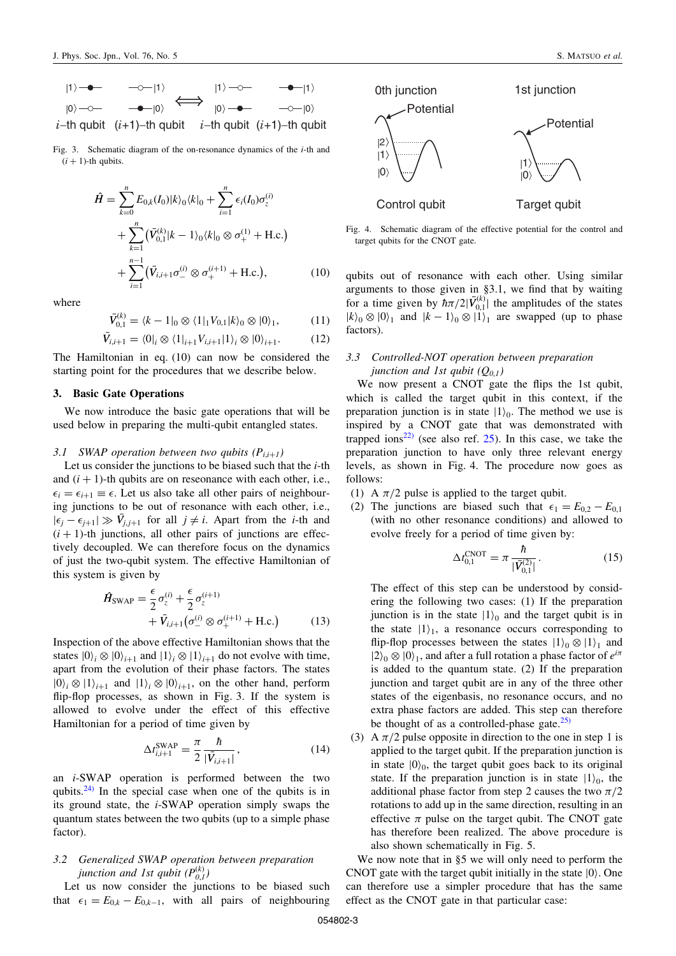Fig. 3. Schematic diagram of the on-resonance dynamics of the i-th and  $(i + 1)$ -th qubits.

$$
\hat{H} = \sum_{k=0}^{n} E_{0,k}(I_0)|k\rangle_0 \langle k|_0 + \sum_{i=1}^{n} \epsilon_i(I_0)\sigma_z^{(i)} + \sum_{k=1}^{n} (\bar{V}_{0,1}^{(k)}|k - 1\rangle_0 \langle k|_0 \otimes \sigma_+^{(1)} + \text{H.c.}) + \sum_{i=1}^{n-1} (\bar{V}_{i,i+1}\sigma_-^{(i)} \otimes \sigma_+^{(i+1)} + \text{H.c.}), \tag{10}
$$

where

$$
\bar{V}_{0,1}^{(k)} = \langle k - 1|_0 \otimes \langle 1|_1 V_{0,1} |k \rangle_0 \otimes |0 \rangle_1, \tag{11}
$$

$$
\bar{V}_{i,i+1} = \langle 0|_i \otimes \langle 1|_{i+1} V_{i,i+1} | 1 \rangle_i \otimes | 0 \rangle_{i+1}.
$$
 (12)

The Hamiltonian in eq. (10) can now be considered the starting point for the procedures that we describe below.

# 3. Basic Gate Operations

We now introduce the basic gate operations that will be used below in preparing the multi-qubit entangled states.

### 3.1 SWAP operation between two qubits  $(P_{i,i+1})$

Let us consider the junctions to be biased such that the  $i$ -th and  $(i + 1)$ -th qubits are on reseonance with each other, i.e.,  $\epsilon_i = \epsilon_{i+1} \equiv \epsilon$ . Let us also take all other pairs of neighbouring junctions to be out of resonance with each other, i.e.,  $|\epsilon_j - \epsilon_{j+1}| \gg \bar{V}_{j,j+1}$  for all  $j \neq i$ . Apart from the *i*-th and  $(i + 1)$ -th junctions, all other pairs of junctions are effectively decoupled. We can therefore focus on the dynamics of just the two-qubit system. The effective Hamiltonian of this system is given by

$$
\hat{H}_{\text{SWAP}} = \frac{\epsilon}{2} \sigma_z^{(i)} + \frac{\epsilon}{2} \sigma_z^{(i+1)} + \bar{V}_{i,i+1} (\sigma_-^{(i)} \otimes \sigma_+^{(i+1)} + \text{H.c.}) \tag{13}
$$

Inspection of the above effective Hamiltonian shows that the states  $|0\rangle_i \otimes |0\rangle_{i+1}$  and  $|1\rangle_i \otimes |1\rangle_{i+1}$  do not evolve with time, apart from the evolution of their phase factors. The states  $|0\rangle_i \otimes |1\rangle_{i+1}$  and  $|1\rangle_i \otimes |0\rangle_{i+1}$ , on the other hand, perform flip-flop processes, as shown in Fig. 3. If the system is allowed to evolve under the effect of this effective Hamiltonian for a period of time given by

$$
\Delta t_{i,i+1}^{\text{SWAP}} = \frac{\pi}{2} \frac{\hbar}{|\bar{V}_{i,i+1}|},\tag{14}
$$

an i-SWAP operation is performed between the two qubits.<sup>[24\)](#page-5-0)</sup> In the special case when one of the qubits is in its ground state, the i-SWAP operation simply swaps the quantum states between the two qubits (up to a simple phase factor).

# 3.2 Generalized SWAP operation between preparation junction and 1st qubit  $(P_{0,1}^{(k)})$

Let us now consider the junctions to be biased such that  $\epsilon_1 = E_{0,k} - E_{0,k-1}$ , with all pairs of neighbouring



Fig. 4. Schematic diagram of the effective potential for the control and target qubits for the CNOT gate.

qubits out of resonance with each other. Using similar arguments to those given in §3.1, we find that by waiting for a time given by  $\hbar \pi/2|\bar{V}_{0,1}^{(k)}|$  the amplitudes of the states  $|k\rangle_0 \otimes |0\rangle_1$  and  $|k - 1\rangle_0 \otimes |1\rangle_1$  are swapped (up to phase factors).

# 3.3 Controlled-NOT operation between preparation junction and 1st qubit  $(Q_{0,1})$

We now present a CNOT gate the flips the 1st qubit, which is called the target qubit in this context, if the preparation junction is in state  $|1\rangle_0$ . The method we use is inspired by a CNOT gate that was demonstrated with trapped ions<sup>[22\)](#page-5-0)</sup> (see also ref.  $25$ ). In this case, we take the preparation junction to have only three relevant energy levels, as shown in Fig. 4. The procedure now goes as follows:

- (1) A  $\pi/2$  pulse is applied to the target qubit.
- (2) The junctions are biased such that  $\epsilon_1 = E_{0,2} E_{0,1}$ (with no other resonance conditions) and allowed to evolve freely for a period of time given by:

$$
\Delta t_{0,1}^{\text{CNOT}} = \pi \frac{\hbar}{|\bar{V}_{0,1}^{(2)}|}.
$$
 (15)

The effect of this step can be understood by considering the following two cases: (1) If the preparation junction is in the state  $|1\rangle_0$  and the target qubit is in the state  $|1\rangle$ <sub>1</sub>, a resonance occurs corresponding to flip-flop processes between the states  $|1\rangle_0 \otimes |1\rangle_1$  and  $|2\rangle_0 \otimes |0\rangle_1$ , and after a full rotation a phase factor of  $e^{i\pi}$ is added to the quantum state. (2) If the preparation junction and target qubit are in any of the three other states of the eigenbasis, no resonance occurs, and no extra phase factors are added. This step can therefore be thought of as a controlled-phase gate. $^{25)}$  $^{25)}$  $^{25)}$ 

(3) A  $\pi/2$  pulse opposite in direction to the one in step 1 is applied to the target qubit. If the preparation junction is in state  $|0\rangle_0$ , the target qubit goes back to its original state. If the preparation junction is in state  $|1\rangle_0$ , the additional phase factor from step 2 causes the two  $\pi/2$ rotations to add up in the same direction, resulting in an effective  $\pi$  pulse on the target qubit. The CNOT gate has therefore been realized. The above procedure is also shown schematically in Fig. 5.

We now note that in §5 we will only need to perform the CNOT gate with the target qubit initially in the state  $|0\rangle$ . One can therefore use a simpler procedure that has the same effect as the CNOT gate in that particular case: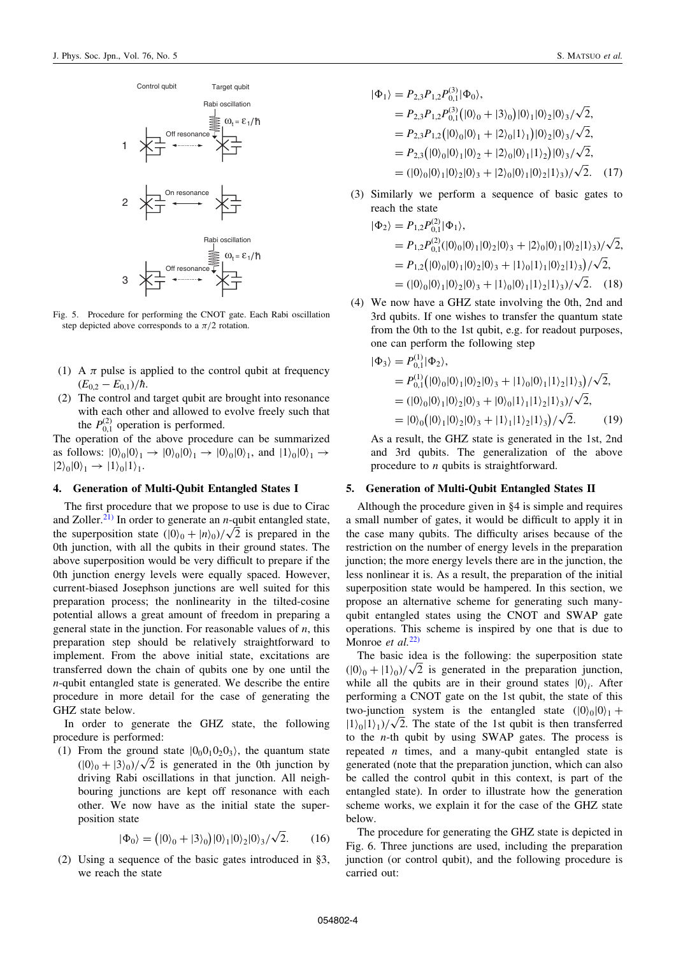

Fig. 5. Procedure for performing the CNOT gate. Each Rabi oscillation step depicted above corresponds to a  $\pi/2$  rotation.

- (1) A  $\pi$  pulse is applied to the control qubit at frequency  $(E_{0,2} - E_{0,1})/\hbar$ .
- (2) The control and target qubit are brought into resonance with each other and allowed to evolve freely such that the  $P_{0,1}^{(2)}$  operation is performed.

The operation of the above procedure can be summarized as follows:  $|0\rangle_0|0\rangle_1 \rightarrow |0\rangle_0|0\rangle_1 \rightarrow |0\rangle_0|0\rangle_1$ , and  $|1\rangle_0|0\rangle_1 \rightarrow$  $|2\rangle_0|0\rangle_1 \rightarrow |1\rangle_0|1\rangle_1.$ 

### 4. Generation of Multi-Qubit Entangled States I

The first procedure that we propose to use is due to Cirac and Zoller.<sup>[21\)](#page-5-0)</sup> In order to generate an *n*-qubit entangled state, and Zoller.<sup>--</sup><sup>7</sup> In order to generate an *n*-qubit entangled state,<br>the superposition state  $(|0\rangle_0 + |n\rangle_0)/\sqrt{2}$  is prepared in the 0th junction, with all the qubits in their ground states. The above superposition would be very difficult to prepare if the 0th junction energy levels were equally spaced. However, current-biased Josephson junctions are well suited for this preparation process; the nonlinearity in the tilted-cosine potential allows a great amount of freedom in preparing a general state in the junction. For reasonable values of  $n$ , this preparation step should be relatively straightforward to implement. From the above initial state, excitations are transferred down the chain of qubits one by one until the n-qubit entangled state is generated. We describe the entire procedure in more detail for the case of generating the GHZ state below.

In order to generate the GHZ state, the following procedure is performed:

(1) From the ground state  $|0_00_10_20_3\rangle$ , the quantum state From the ground state  $|0_0 0_1 0_2 0_3\rangle$ , the quantum state  $(|0\rangle_0 + |3\rangle_0)/\sqrt{2}$  is generated in the 0th junction by driving Rabi oscillations in that junction. All neighbouring junctions are kept off resonance with each other. We now have as the initial state the superposition state

$$
|\Phi_0\rangle = (|0\rangle_0 + |3\rangle_0)|0\rangle_1|0\rangle_2|0\rangle_3/\sqrt{2}.
$$
 (16)

(2) Using a sequence of the basic gates introduced in §3, we reach the state

$$
\begin{aligned} |\Phi_1\rangle &= P_{2,3} P_{1,2} P_{0,1}^{(3)} |\Phi_0\rangle, \\ &= P_{2,3} P_{1,2} P_{0,1}^{(3)} (|0\rangle_0 + |3\rangle_0) |0\rangle_1 |0\rangle_2 |0\rangle_3 / \sqrt{2}, \\ &= P_{2,3} P_{1,2} (|0\rangle_0 |0\rangle_1 + |2\rangle_0 |1\rangle_1) |0\rangle_2 |0\rangle_3 / \sqrt{2}, \\ &= P_{2,3} (|0\rangle_0 |0\rangle_1 |0\rangle_2 + |2\rangle_0 |0\rangle_1 |1\rangle_2) |0\rangle_3 / \sqrt{2}, \\ &= (|0\rangle_0 |0\rangle_1 |0\rangle_2 |0\rangle_3 + |2\rangle_0 |0\rangle_1 |0\rangle_2 |1\rangle_3) / \sqrt{2}. \end{aligned} \tag{17}
$$

(3) Similarly we perform a sequence of basic gates to reach the state

$$
\begin{aligned} |\Phi_2\rangle &= P_{1,2} P_{0,1}^{(2)} |\Phi_1\rangle, \\ &= P_{1,2} P_{0,1}^{(2)} |0\rangle_0 |0\rangle_1 |0\rangle_2 |0\rangle_3 + |2\rangle_0 |0\rangle_1 |0\rangle_2 |1\rangle_3\rangle / \sqrt{2}, \\ &= P_{1,2} (|0\rangle_0 |0\rangle_1 |0\rangle_2 |0\rangle_3 + |1\rangle_0 |1\rangle_1 |0\rangle_2 |1\rangle_3\rangle / \sqrt{2}, \\ &= (|0\rangle_0 |0\rangle_1 |0\rangle_2 |0\rangle_3 + |1\rangle_0 |0\rangle_1 |1\rangle_2 |1\rangle_3\rangle / \sqrt{2}. \end{aligned}
$$
 (18)

(4) We now have a GHZ state involving the 0th, 2nd and 3rd qubits. If one wishes to transfer the quantum state from the 0th to the 1st qubit, e.g. for readout purposes, one can perform the following step

$$
\begin{aligned} |\Phi_3\rangle &= P_{0,1}^{(1)} |\Phi_2\rangle, \\ &= P_{0,1}^{(1)} (|0\rangle_0 |0\rangle_1 |0\rangle_2 |0\rangle_3 + |1\rangle_0 |0\rangle_1 |1\rangle_2 |1\rangle_3 \big) / \sqrt{2}, \\ &= (|0\rangle_0 |0\rangle_1 |0\rangle_2 |0\rangle_3 + |0\rangle_0 |1\rangle_1 |1\rangle_2 |1\rangle_3 \big) / \sqrt{2}, \\ &= |0\rangle_0 \big( |0\rangle_1 |0\rangle_2 |0\rangle_3 + |1\rangle_1 |1\rangle_2 |1\rangle_3 \big) / \sqrt{2}. \end{aligned} \tag{19}
$$

As a result, the GHZ state is generated in the 1st, 2nd and 3rd qubits. The generalization of the above procedure to *n* qubits is straightforward.

## 5. Generation of Multi-Qubit Entangled States II

Although the procedure given in §4 is simple and requires a small number of gates, it would be difficult to apply it in the case many qubits. The difficulty arises because of the restriction on the number of energy levels in the preparation junction; the more energy levels there are in the junction, the less nonlinear it is. As a result, the preparation of the initial superposition state would be hampered. In this section, we propose an alternative scheme for generating such manyqubit entangled states using the CNOT and SWAP gate operations. This scheme is inspired by one that is due to Monroe et al. $^{22)}$  $^{22)}$  $^{22)}$ 

The basic idea is the following: the superposition state The basic idea is the following: the superposition state<br>( $|0\rangle_0 + |1\rangle_0$ )/ $\sqrt{2}$  is generated in the preparation junction, while all the qubits are in their ground states  $|0\rangle$ . After performing a CNOT gate on the 1st qubit, the state of this two-junction system is the entangled state  $(|0\rangle_0|0\rangle_1 +$ two-junction system is the entangled state  $(|0\rangle_0|0\rangle_1 + |1\rangle_0|1\rangle_1)/\sqrt{2}$ . The state of the 1st qubit is then transferred to the  $n$ -th qubit by using SWAP gates. The process is repeated  $n$  times, and a many-qubit entangled state is generated (note that the preparation junction, which can also be called the control qubit in this context, is part of the entangled state). In order to illustrate how the generation scheme works, we explain it for the case of the GHZ state below.

The procedure for generating the GHZ state is depicted in Fig. 6. Three junctions are used, including the preparation junction (or control qubit), and the following procedure is carried out: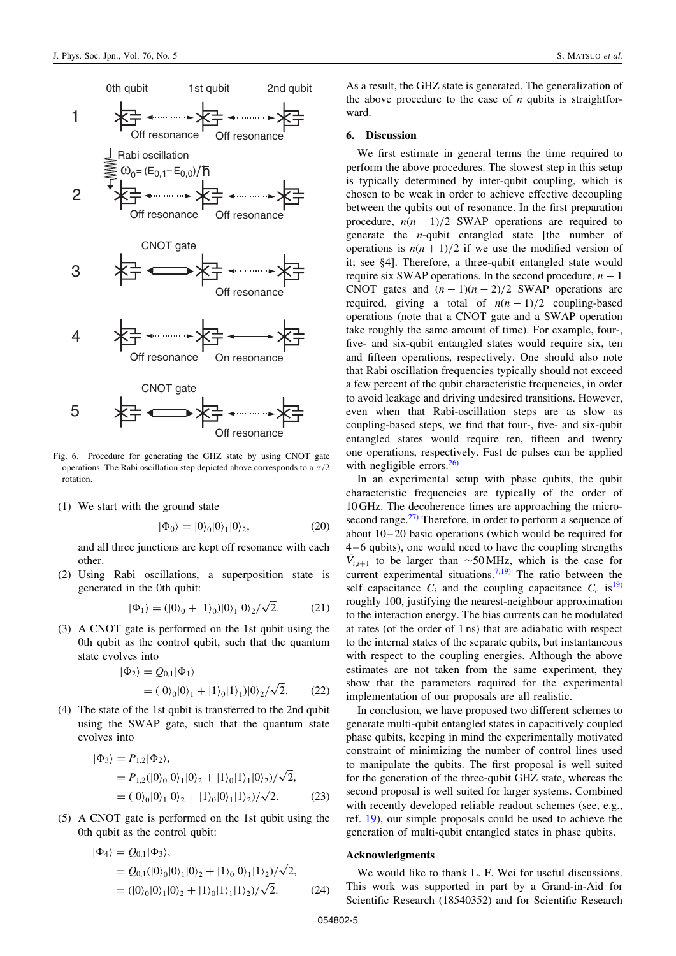

Fig. 6. Procedure for generating the GHZ state by using CNOT gate operations. The Rabi oscillation step depicted above corresponds to a  $\pi/2$ rotation.

(1) We start with the ground state

$$
|\Phi_0\rangle = |0\rangle_0 |0\rangle_1 |0\rangle_2, \tag{20}
$$

and all three junctions are kept off resonance with each other.

(2) Using Rabi oscillations, a superposition state is generated in the 0th qubit:

$$
|\Phi_1\rangle = (|0\rangle_0 + |1\rangle_0)|0\rangle_1|0\rangle_2/\sqrt{2}.
$$
 (21)

(3) A CNOT gate is performed on the 1st qubit using the 0th qubit as the control qubit, such that the quantum state evolves into

$$
|\Phi_2\rangle = Q_{0,1}|\Phi_1\rangle
$$
  
=  $(|0\rangle_0|0\rangle_1 + |1\rangle_0|1\rangle_1)|0\rangle_2/\sqrt{2}.$  (22)

(4) The state of the 1st qubit is transferred to the 2nd qubit using the SWAP gate, such that the quantum state evolves into

$$
|\Phi_3\rangle = P_{1,2}|\Phi_2\rangle,
$$
  
=  $P_{1,2}(|0\rangle_0|0\rangle_1|0\rangle_2 + |1\rangle_0|1\rangle_1|0\rangle_2)/\sqrt{2},$   
=  $(|0\rangle_0|0\rangle_1|0\rangle_2 + |1\rangle_0|0\rangle_1|1\rangle_2)/\sqrt{2}.$  (23)

(5) A CNOT gate is performed on the 1st qubit using the 0th qubit as the control qubit:

$$
\begin{aligned} |\Phi_4\rangle &= Q_{0,1}|\Phi_3\rangle, \\ &= Q_{0,1}(|0\rangle_0|0\rangle_1|0\rangle_2 + |1\rangle_0|0\rangle_1|1\rangle_2)/\sqrt{2}, \\ &= (|0\rangle_0|0\rangle_1|0\rangle_2 + |1\rangle_0|1\rangle_1|1\rangle_2)/\sqrt{2}. \end{aligned} \tag{24}
$$

As a result, the GHZ state is generated. The generalization of the above procedure to the case of  $n$  qubits is straightforward.

### 6. Discussion

We first estimate in general terms the time required to perform the above procedures. The slowest step in this setup is typically determined by inter-qubit coupling, which is chosen to be weak in order to achieve effective decoupling between the qubits out of resonance. In the first preparation procedure,  $n(n-1)/2$  SWAP operations are required to generate the *n*-qubit entangled state [the number of operations is  $n(n+1)/2$  if we use the modified version of it; see §4]. Therefore, a three-qubit entangled state would require six SWAP operations. In the second procedure,  $n - 1$ CNOT gates and  $(n - 1)(n - 2)/2$  SWAP operations are required, giving a total of  $n(n-1)/2$  coupling-based operations (note that a CNOT gate and a SWAP operation take roughly the same amount of time). For example, four-, five- and six-qubit entangled states would require six, ten and fifteen operations, respectively. One should also note that Rabi oscillation frequencies typically should not exceed a few percent of the qubit characteristic frequencies, in order to avoid leakage and driving undesired transitions. However, even when that Rabi-oscillation steps are as slow as coupling-based steps, we find that four-, five- and six-qubit entangled states would require ten, fifteen and twenty one operations, respectively. Fast dc pulses can be applied with negligible errors. $26$ 

In an experimental setup with phase qubits, the qubit characteristic frequencies are typically of the order of 10 GHz. The decoherence times are approaching the microsecond range. $^{27}$  Therefore, in order to perform a sequence of about  $10 - 20$  basic operations (which would be required for 4 – 6 qubits), one would need to have the coupling strengths  $\bar{V}_{i,i+1}$  to be larger than ~50 MHz, which is the case for current experimental situations.<sup>[7,19\)](#page-5-0)</sup> The ratio between the self capacitance  $C_i$  and the coupling capacitance  $C_c$  is  $\frac{19}{9}$ roughly 100, justifying the nearest-neighbour approximation to the interaction energy. The bias currents can be modulated at rates (of the order of 1 ns) that are adiabatic with respect to the internal states of the separate qubits, but instantaneous with respect to the coupling energies. Although the above estimates are not taken from the same experiment, they show that the parameters required for the experimental implementation of our proposals are all realistic.

In conclusion, we have proposed two different schemes to generate multi-qubit entangled states in capacitively coupled phase qubits, keeping in mind the experimentally motivated constraint of minimizing the number of control lines used to manipulate the qubits. The first proposal is well suited for the generation of the three-qubit GHZ state, whereas the second proposal is well suited for larger systems. Combined with recently developed reliable readout schemes (see, e.g., ref. [19\)](#page-5-0), our simple proposals could be used to achieve the generation of multi-qubit entangled states in phase qubits.

## Acknowledgments

We would like to thank L. F. Wei for useful discussions. This work was supported in part by a Grand-in-Aid for Scientific Research (18540352) and for Scientific Research